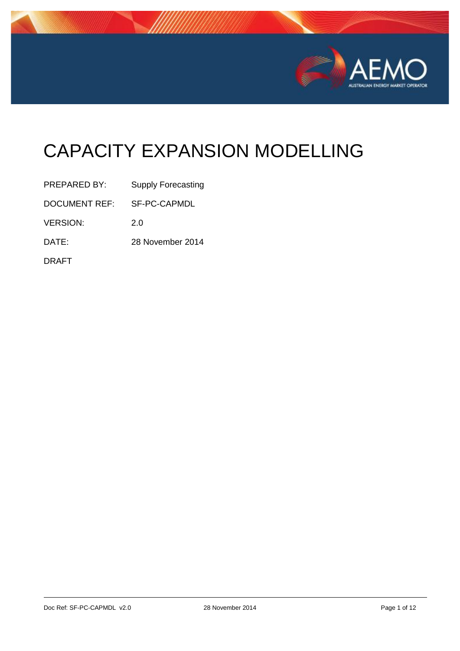

# CAPACITY EXPANSION MODELLING

| PREPARED BY:    | <b>Supply Forecasting</b> |
|-----------------|---------------------------|
| DOCUMENT REF:   | SF-PC-CAPMDL              |
| <b>VERSION:</b> | 2.0                       |
| DATE:           | 28 November 2014          |
| <b>DRAFT</b>    |                           |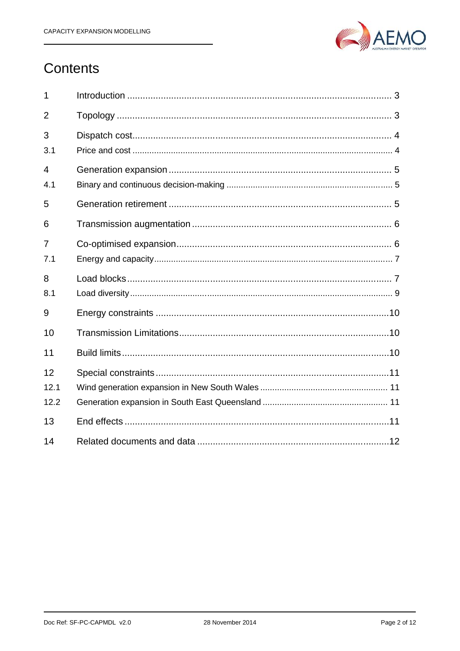

# Contents

| 1                     |  |
|-----------------------|--|
| $\overline{2}$        |  |
| 3<br>3.1              |  |
| $\overline{4}$<br>4.1 |  |
| 5                     |  |
| 6                     |  |
| 7<br>7.1              |  |
| 8<br>8.1              |  |
| 9                     |  |
| 10                    |  |
| 11                    |  |
| 12<br>12.1<br>12.2    |  |
| 13                    |  |
| 14                    |  |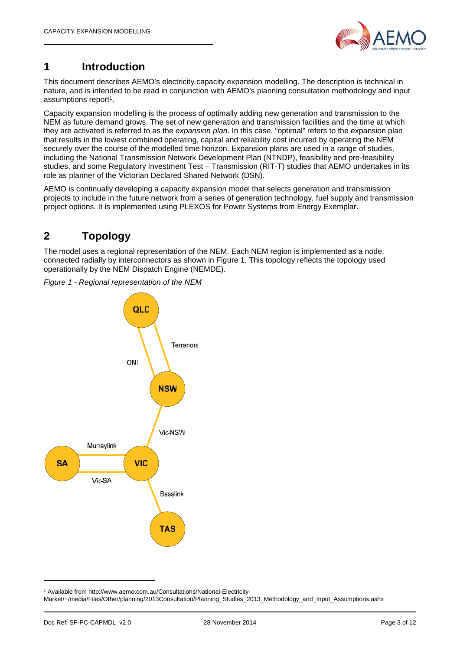

# **1 Introduction**

This document describes AEMO's electricity capacity expansion modelling. The description is technical in nature, and is intended to be read in conjunction with AEMO's planning consultation methodology and input assumptions report<sup>1</sup>.

Capacity expansion modelling is the process of optimally adding new generation and transmission to the NEM as future demand grows. The set of new generation and transmission facilities and the time at which they are activated is referred to as the *expansion plan*. In this case, "optimal" refers to the expansion plan that results in the lowest combined operating, capital and reliability cost incurred by operating the NEM securely over the course of the modelled time horizon. Expansion plans are used in a range of studies, including the National Transmission Network Development Plan (NTNDP), feasibility and pre-feasibility studies, and some Regulatory Investment Test – Transmission (RIT-T) studies that AEMO undertakes in its role as planner of the Victorian Declared Shared Network (DSN).

AEMO is continually developing a capacity expansion model that selects generation and transmission projects to include in the future network from a series of generation technology, fuel supply and transmission project options. It is implemented using PLEXOS for Power Systems from Energy Exemplar.

# **2 Topology**

The model uses a regional representation of the NEM. Each NEM region is implemented as a node, connected radially by interconnectors as shown in Figure 1. This topology reflects the topology used operationally by the NEM Dispatch Engine (NEMDE).

*Figure 1 - Regional representation of the NEM*



<sup>1</sup> Available from http://www.aemo.com.au/Consultations/National-Electricity-

Market/~/media/Files/Other/planning/2013Consultation/Planning\_Studies\_2013\_Methodology\_and\_Input\_Assumptions.ashx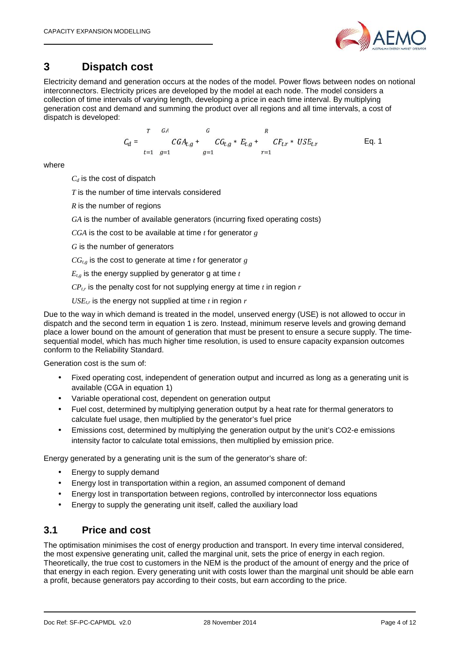

# **3 Dispatch cost**

Electricity demand and generation occurs at the nodes of the model. Power flows between nodes on notional interconnectors. Electricity prices are developed by the model at each node. The model considers a collection of time intervals of varying length, developing a price in each time interval. By multiplying generation cost and demand and summing the product over all regions and all time intervals, a cost of dispatch is developed:

$$
C_d = \n\begin{array}{ccccc}\n & G & & R \\
& CGA_{t,g} + & CG_{t,g} * E_{t,g} + & CF_{t,r} * \text{USE}_{t,r} \\
& & t=1 \quad g=1\n\end{array}\n\tag{Eq. 1}
$$

where

*C<sup>d</sup>* is the cost of dispatch

*T* is the number of time intervals considered

*R* is the number of regions

*GA* is the number of available generators (incurring fixed operating costs)

*CGA* is the cost to be available at time  $t$  for generator  $g$ 

*G* is the number of generators

 $CG<sub>t,e</sub>$  is the cost to generate at time *t* for generator *g* 

 $E_{t,g}$  is the energy supplied by generator g at time  $t$ 

 $CP<sub>tr</sub>$  is the penalty cost for not supplying energy at time *t* in region *r* 

 $USE<sub>tr</sub>$  is the energy not supplied at time *t* in region *r* 

Due to the way in which demand is treated in the model, unserved energy (USE) is not allowed to occur in dispatch and the second term in equation 1 is zero. Instead, minimum reserve levels and growing demand place a lower bound on the amount of generation that must be present to ensure a secure supply. The time sequential model, which has much higher time resolution, is used to ensure capacity expansion outcomes conform to the Reliability Standard.

Generation cost is the sum of:

- Fixed operating cost, independent of generation output and incurred as long as a generating unit is available (CGA in equation 1)
- Variable operational cost, dependent on generation output
- Fuel cost, determined by multiplying generation output by a heat rate for thermal generators to calculate fuel usage, then multiplied by the generator's fuel price
- Emissions cost, determined by multiplying the generation output by the unit's CO2-e emissions intensity factor to calculate total emissions, then multiplied by emission price.

Energy generated by a generating unit is the sum of the generator's share of:

- Energy to supply demand
- Energy lost in transportation within a region, an assumed component of demand
- Energy lost in transportation between regions, controlled by interconnector loss equations
- Energy to supply the generating unit itself, called the auxiliary load

#### **3.1 Price and cost**

The optimisation minimises the cost of energy production and transport. In every time interval considered, the most expensive generating unit, called the marginal unit, sets the price of energy in each region. Theoretically, the true cost to customers in the NEM is the product of the amount of energy and the price of that energy in each region. Every generating unit with costs lower than the marginal unit should be able earn a profit, because generators pay according to their costs, but earn according to the price.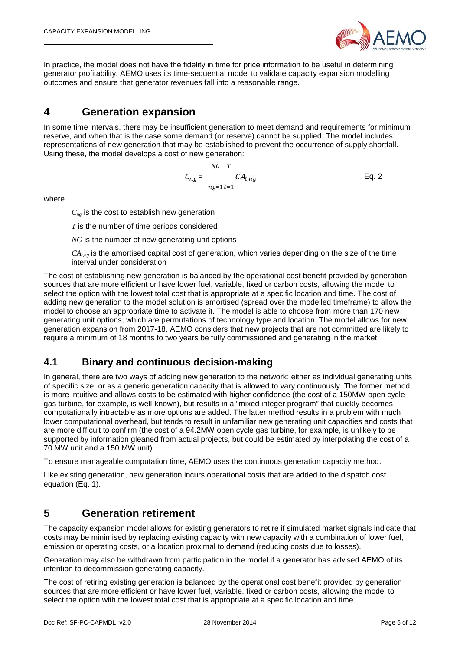

In practice, the model does not have the fidelity in time for price information to be useful in determining generator profitability. AEMO uses its time-sequential model to validate capacity expansion modelling outcomes and ensure that generator revenues fall into a reasonable range.

#### **4 Generation expansion**

In some time intervals, there may be insufficient generation to meet demand and requirements for minimum reserve, and when that is the case some demand (or reserve) cannot be supplied. The model includes representations of new generation that may be established to prevent the occurrence of supply shortfall. Using these, the model develops a cost of new generation:

$$
C_{ng} = \frac{NG}{ng=1} \frac{TA_{t,ng}}{t=1}
$$
 Eq. 2

where

 $C_{nq}$  is the cost to establish new generation

*T* is the number of time periods considered

*NG* is the number of new generating unit options

 $CA<sub>tng</sub>$  is the amortised capital cost of generation, which varies depending on the size of the time interval under consideration

The cost of establishing new generation is balanced by the operational cost benefit provided by generation sources that are more efficient or have lower fuel, variable, fixed or carbon costs, allowing the model to select the option with the lowest total cost that is appropriate at a specific location and time. The cost of adding new generation to the model solution is amortised (spread over the modelled timeframe) to allow the model to choose an appropriate time to activate it. The model is able to choose from more than 170 new generating unit options, which are permutations of technology type and location. The model allows for new generation expansion from 2017-18. AEMO considers that new projects that are not committed are likely to require a minimum of 18 months to two years be fully commissioned and generating in the market.

#### **4.1 Binary and continuous decision-making**

In general, there are two ways of adding new generation to the network: either as individual generating units of specific size, or as a generic generation capacity that is allowed to vary continuously. The former method is more intuitive and allows costs to be estimated with higher confidence (the cost of a 150MW open cycle gas turbine, for example, is well-known), but results in a "mixed integer program" that quickly becomes computationally intractable as more options are added. The latter method results in a problem with much lower computational overhead, but tends to result in unfamiliar new generating unit capacities and costs that are more difficult to confirm (the cost of a 94.2MW open cycle gas turbine, for example, is unlikely to be supported by information gleaned from actual projects, but could be estimated by interpolating the cost of a 70 MW unit and a 150 MW unit).

To ensure manageable computation time, AEMO uses the continuous generation capacity method.

Like existing generation, new generation incurs operational costs that are added to the dispatch cost equation (Eq. 1).

#### **5 Generation retirement**

The capacity expansion model allows for existing generators to retire if simulated market signals indicate that costs may be minimised by replacing existing capacity with new capacity with a combination of lower fuel, emission or operating costs, or a location proximal to demand (reducing costs due to losses).

Generation may also be withdrawn from participation in the model if a generator has advised AEMO of its intention to decommission generating capacity.

The cost of retiring existing generation is balanced by the operational cost benefit provided by generation sources that are more efficient or have lower fuel, variable, fixed or carbon costs, allowing the model to select the option with the lowest total cost that is appropriate at a specific location and time.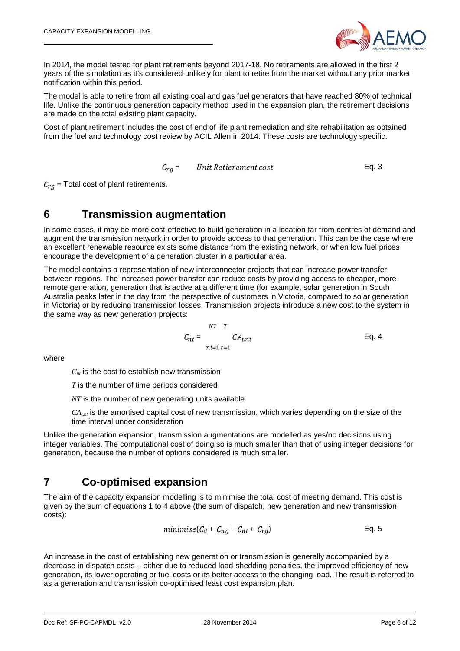

In 2014, the model tested for plant retirements beyond 2017-18. No retirements are allowed in the first 2 years of the simulation as it's considered unlikely for plant to retire from the market without any prior market notification within this period.

The model is able to retire from all existing coal and gas fuel generators that have reached 80% of technical life. Unlike the continuous generation capacity method used in the expansion plan, the retirement decisions are made on the total existing plant capacity.

Cost of plant retirement includes the cost of end of life plant remediation and site rehabilitation as obtained from the fuel and technology cost review by ACIL Allen in 2014. These costs are technology specific.

 $C_{ra}$  = Unit Retierement cost Eq. 3

 $C_{ra}$  = Total cost of plant retirements.

#### **6 Transmission augmentation**

In some cases, it may be more cost-effective to build generation in a location far from centres of demand and augment the transmission network in order to provide access to that generation. This can be the case where an excellent renewable resource exists some distance from the existing network, or when low fuel prices encourage the development of a generation cluster in a particular area.

The model contains a representation of new interconnector projects that can increase power transfer between regions. The increased power transfer can reduce costs by providing access to cheaper, more remote generation, generation that is active at a different time (for example, solar generation in South Australia peaks later in the day from the perspective of customers in Victoria, compared to solar generation in Victoria) or by reducing transmission losses. Transmission projects introduce a new cost to the system in the same way as new generation projects:

$$
C_{nt} = \frac{NT \ T}{nt=1 \ t=1}
$$
 C $A_{t,nt}$  Eq. 4

where

 $C<sub>nt</sub>$  is the cost to establish new transmission

*T* is the number of time periods considered

*NT* is the number of new generating units available

 $CA<sub>tm</sub>$  is the amortised capital cost of new transmission, which varies depending on the size of the time interval under consideration

Unlike the generation expansion, transmission augmentations are modelled as yes/no decisions using integer variables. The computational cost of doing so is much smaller than that of using integer decisions for generation, because the number of options considered is much smaller.

#### **7 Co-optimised expansion**

The aim of the capacity expansion modelling is to minimise the total cost of meeting demand. This cost is given by the sum of equations 1 to 4 above (the sum of dispatch, new generation and new transmission costs):

$$
minimise(C_d + C_{ng} + C_{nt} + C_{rg})
$$
 Eq. 5

An increase in the cost of establishing new generation or transmission is generally accompanied by a decrease in dispatch costs – either due to reduced load-shedding penalties, the improved efficiency of new generation, its lower operating or fuel costs or its better access to the changing load. The result is referred to as a generation and transmission co-optimised least cost expansion plan.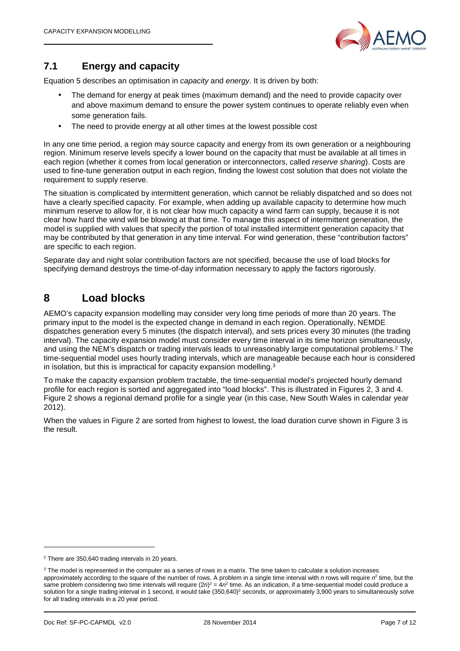

#### **7.1 Energy and capacity**

Equation 5 describes an optimisation in *capacity* and *energy*. It is driven by both:

- The demand for energy at peak times (maximum demand) and the need to provide capacity over and above maximum demand to ensure the power system continues to operate reliably even when some generation fails.
- The need to provide energy at all other times at the lowest possible cost

In any one time period, a region may source capacity and energy from its own generation or a neighbouring region. Minimum reserve levels specify a lower bound on the capacity that must be available at all times in each region (whether it comes from local generation or interconnectors, called *reserve sharing*). Costs are used to fine-tune generation output in each region, finding the lowest cost solution that does not violate the requirement to supply reserve.

The situation is complicated by intermittent generation, which cannot be reliably dispatched and so does not have a clearly specified capacity. For example, when adding up available capacity to determine how much minimum reserve to allow for, it is not clear how much capacity a wind farm can supply, because it is not clear how hard the wind will be blowing at that time. To manage this aspect of intermittent generation, the model is supplied with values that specify the portion of total installed intermittent generation capacity that may be contributed by that generation in any time interval. For wind generation, these "contribution factors" are specific to each region.

Separate day and night solar contribution factors are not specified, because the use of load blocks for specifying demand destroys the time-of-day information necessary to apply the factors rigorously.

#### **8 Load blocks**

AEMO's capacity expansion modelling may consider very long time periods of more than 20 years. The primary input to the model is the expected change in demand in each region. Operationally, NEMDE dispatches generation every 5 minutes (the dispatch interval), and sets prices every 30 minutes (the trading interval). The capacity expansion model must consider every time interval in its time horizon simultaneously, and using the NEM's dispatch or trading intervals leads to unreasonably large computational problems.<sup>2</sup> The time-sequential model uses hourly trading intervals, which are manageable because each hour is considered in isolation, but this is impractical for capacity expansion modelling.<sup>3</sup>

To make the capacity expansion problem tractable, the time-sequential model's projected hourly demand profile for each region is sorted and aggregated into "load blocks". This is illustrated in Figures 2, 3 and 4. Figure 2 shows a regional demand profile for a single year (in this case, New South Wales in calendar year 2012).

When the values in Figure 2 are sorted from highest to lowest, the load duration curve shown in Figure 3 is the result.

<sup>2</sup> There are 350,640 trading intervals in 20 years.

<sup>&</sup>lt;sup>3</sup> The model is represented in the computer as a series of rows in a matrix. The time taken to calculate a solution increases approximately according to the square of the number of rows. A problem in a single time interval with *n* rows will require *n* 2 time, but the same problem considering two time intervals will require (2*n*)<sup>2</sup> = 4 $n^2$  time. As an indication, if a time-sequential model could produce a solution for a single trading interval in 1 second, it would take (350,640)<sup>2</sup> seconds, or approximately 3,900 years to simultaneously solve for all trading intervals in a 20 year period.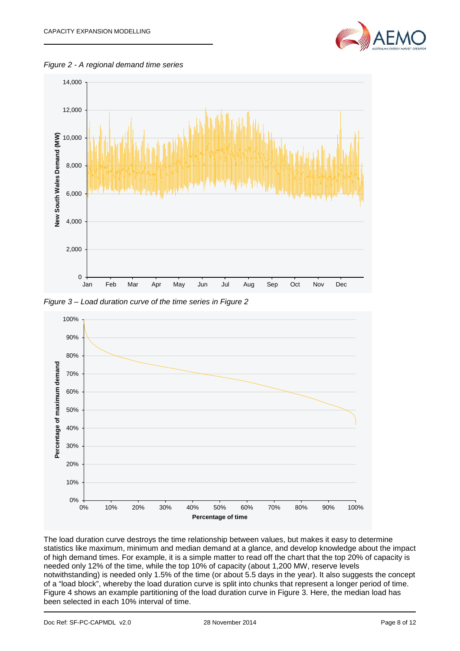

*Figure 2 - A regional demand time series*



*Figure 3 – Load duration curve of the time series in Figure 2*



The load duration curve destroys the time relationship between values, but makes it easy to determine statistics like maximum, minimum and median demand at a glance, and develop knowledge about the impact of high demand times. For example, it is a simple matter to read off the chart that the top 20% of capacity is needed only 12% of the time, while the top 10% of capacity (about 1,200 MW, reserve levels notwithstanding) is needed only 1.5% of the time (or about 5.5 days in the year). It also suggests the concept of a "load block", whereby the load duration curve is split into chunks that represent a longer period of time. Figure 4 shows an example partitioning of the load duration curve in Figure 3. Here, the median load has been selected in each 10% interval of time.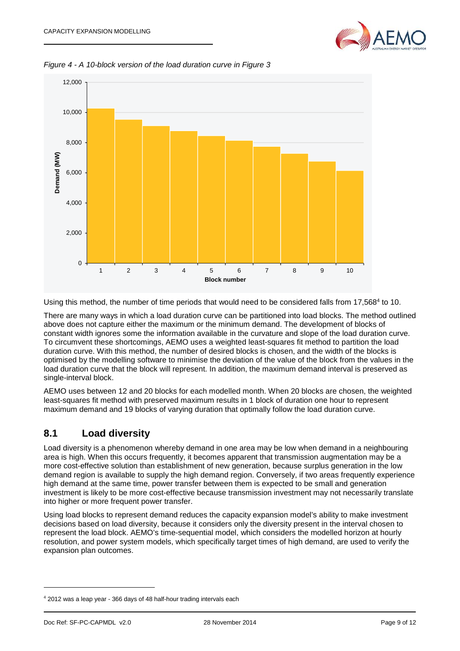

*Figure 4 - A 10-block version of the load duration curve in Figure 3*



Using this method, the number of time periods that would need to be considered falls from 17,568<sup>4</sup> to 10.

There are many ways in which a load duration curve can be partitioned into load blocks. The method outlined above does not capture either the maximum or the minimum demand. The development of blocks of constant width ignores some the information available in the curvature and slope of the load duration curve. To circumvent these shortcomings, AEMO uses a weighted least-squares fit method to partition the load duration curve. With this method, the number of desired blocks is chosen, and the width of the blocks is optimised by the modelling software to minimise the deviation of the value of the block from the values in the load duration curve that the block will represent. In addition, the maximum demand interval is preserved as single-interval block.

AEMO uses between 12 and 20 blocks for each modelled month. When 20 blocks are chosen, the weighted least-squares fit method with preserved maximum results in 1 block of duration one hour to represent maximum demand and 19 blocks of varying duration that optimally follow the load duration curve.

#### **8.1 Load diversity**

Load diversity is a phenomenon whereby demand in one area may be low when demand in a neighbouring area is high. When this occurs frequently, it becomes apparent that transmission augmentation may be a more cost-effective solution than establishment of new generation, because surplus generation in the low demand region is available to supply the high demand region. Conversely, if two areas frequently experience high demand at the same time, power transfer between them is expected to be small and generation investment is likely to be more cost-effective because transmission investment may not necessarily translate into higher or more frequent power transfer.

Using load blocks to represent demand reduces the capacity expansion model's ability to make investment decisions based on load diversity, because it considers only the diversity present in the interval chosen to represent the load block. AEMO's time-sequential model, which considers the modelled horizon at hourly resolution, and power system models, which specifically target times of high demand, are used to verify the expansion plan outcomes.

<sup>4</sup> 2012 was a leap year - 366 days of 48 half-hour trading intervals each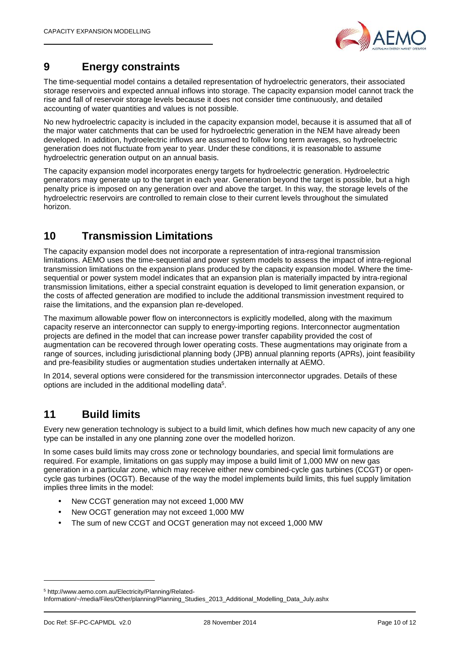

# **9 Energy constraints**

The time-sequential model contains a detailed representation of hydroelectric generators, their associated storage reservoirs and expected annual inflows into storage. The capacity expansion model cannot track the rise and fall of reservoir storage levels because it does not consider time continuously, and detailed accounting of water quantities and values is not possible.

No new hydroelectric capacity is included in the capacity expansion model, because it is assumed that all of the major water catchments that can be used for hydroelectric generation in the NEM have already been developed. In addition, hydroelectric inflows are assumed to follow long term averages, so hydroelectric generation does not fluctuate from year to year. Under these conditions, it is reasonable to assume hydroelectric generation output on an annual basis.

The capacity expansion model incorporates energy targets for hydroelectric generation. Hydroelectric generators may generate up to the target in each year. Generation beyond the target is possible, but a high penalty price is imposed on any generation over and above the target. In this way, the storage levels of the hydroelectric reservoirs are controlled to remain close to their current levels throughout the simulated horizon.

# **10 Transmission Limitations**

The capacity expansion model does not incorporate a representation of intra-regional transmission limitations. AEMO uses the time-sequential and power system models to assess the impact of intra-regional transmission limitations on the expansion plans produced by the capacity expansion model. Where the time sequential or power system model indicates that an expansion plan is materially impacted by intra-regional transmission limitations, either a special constraint equation is developed to limit generation expansion, or the costs of affected generation are modified to include the additional transmission investment required to raise the limitations, and the expansion plan re-developed.

The maximum allowable power flow on interconnectors is explicitly modelled, along with the maximum capacity reserve an interconnector can supply to energy-importing regions. Interconnector augmentation projects are defined in the model that can increase power transfer capability provided the cost of augmentation can be recovered through lower operating costs. These augmentations may originate from a range of sources, including jurisdictional planning body (JPB) annual planning reports (APRs), joint feasibility and pre-feasibility studies or augmentation studies undertaken internally at AEMO.

In 2014, several options were considered for the transmission interconnector upgrades. Details of these options are included in the additional modelling data<sup>5</sup>.

#### **11 Build limits**

Every new generation technology is subject to a build limit, which defines how much new capacity of any one type can be installed in any one planning zone over the modelled horizon.

In some cases build limits may cross zone or technology boundaries, and special limit formulations are required. For example, limitations on gas supply may impose a build limit of 1,000 MW on new gas generation in a particular zone, which may receive either new combined-cycle gas turbines (CCGT) or open cycle gas turbines (OCGT). Because of the way the model implements build limits, this fuel supply limitation implies three limits in the model:

- New CCGT generation may not exceed 1,000 MW
- New OCGT generation may not exceed 1,000 MW
- The sum of new CCGT and OCGT generation may not exceed 1,000 MW

<sup>5</sup> http://www.aemo.com.au/Electricity/Planning/Related-

Information/~/media/Files/Other/planning/Planning\_Studies\_2013\_Additional\_Modelling\_Data\_July.ashx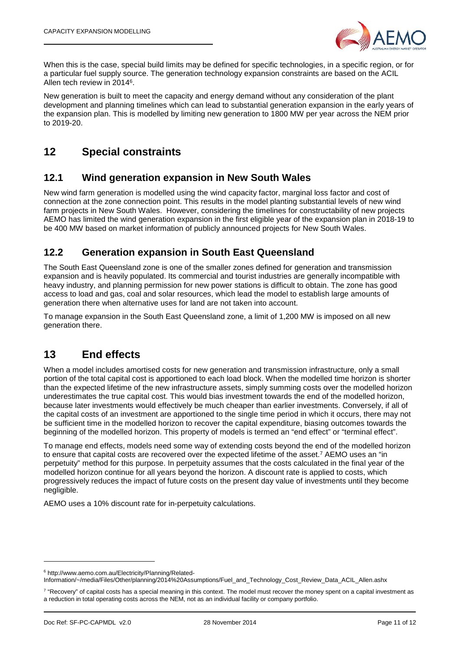

When this is the case, special build limits may be defined for specific technologies, in a specific region, or for a particular fuel supply source. The generation technology expansion constraints are based on the ACIL Allen tech review in 2014<sup>6</sup>.

New generation is built to meet the capacity and energy demand without any consideration of the plant development and planning timelines which can lead to substantial generation expansion in the early years of the expansion plan. This is modelled by limiting new generation to 1800 MW per year across the NEM prior to 2019-20.

## **12 Special constraints**

#### **12.1 Wind generation expansion in New South Wales**

New wind farm generation is modelled using the wind capacity factor, marginal loss factor and cost of connection at the zone connection point. This results in the model planting substantial levels of new wind farm projects in New South Wales. However, considering the timelines for constructability of new projects AEMO has limited the wind generation expansion in the first eligible year of the expansion plan in 2018-19 to be 400 MW based on market information of publicly announced projects for New South Wales.

#### **12.2 Generation expansion in South East Queensland**

The South East Queensland zone is one of the smaller zones defined for generation and transmission expansion and is heavily populated. Its commercial and tourist industries are generally incompatible with heavy industry, and planning permission for new power stations is difficult to obtain. The zone has good access to load and gas, coal and solar resources, which lead the model to establish large amounts of generation there when alternative uses for land are not taken into account.

To manage expansion in the South East Queensland zone, a limit of 1,200 MW is imposed on all new generation there.

#### **13 End effects**

When a model includes amortised costs for new generation and transmission infrastructure, only a small portion of the total capital cost is apportioned to each load block. When the modelled time horizon is shorter than the expected lifetime of the new infrastructure assets, simply summing costs over the modelled horizon underestimates the true capital cost. This would bias investment towards the end of the modelled horizon, because later investments would effectively be much cheaper than earlier investments. Conversely, if all of the capital costs of an investment are apportioned to the single time period in which it occurs, there may not be sufficient time in the modelled horizon to recover the capital expenditure, biasing outcomes towards the beginning of the modelled horizon. This property of models is termed an "end effect" or "terminal effect".

To manage end effects, models need some way of extending costs beyond the end of the modelled horizon to ensure that capital costs are recovered over the expected lifetime of the asset.<sup>7</sup> AEMO uses an "in perpetuity" method for this purpose. In perpetuity assumes that the costs calculated in the final year of the modelled horizon continue for all years beyond the horizon. A discount rate is applied to costs, which progressively reduces the impact of future costs on the present day value of investments until they become negligible.

AEMO uses a 10% discount rate for in-perpetuity calculations.

<sup>6</sup> http://www.aemo.com.au/Electricity/Planning/Related-

Information/~/media/Files/Other/planning/2014%20Assumptions/Fuel\_and\_Technology\_Cost\_Review\_Data\_ACIL\_Allen.ashx

<sup>7</sup> "Recovery" of capital costs has a special meaning in this context. The model must recover the money spent on a capital investment as a reduction in total operating costs across the NEM, not as an individual facility or company portfolio.